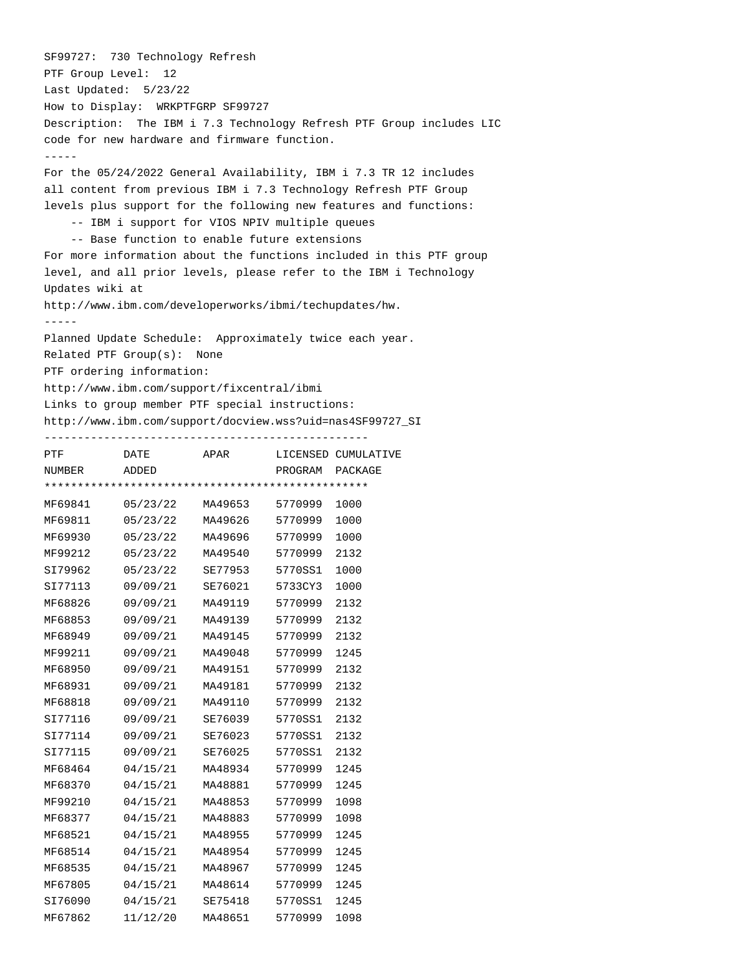SF99727: 730 Technology Refresh PTF Group Level: 12 Last Updated: 5/23/22 How to Display: WRKPTFGRP SF99727 Description: The IBM i 7.3 Technology Refresh PTF Group includes LIC code for new hardware and firmware function. ----- For the 05/24/2022 General Availability, IBM i 7.3 TR 12 includes all content from previous IBM i 7.3 Technology Refresh PTF Group levels plus support for the following new features and functions: -- IBM i support for VIOS NPIV multiple queues -- Base function to enable future extensions For more information about the functions included in this PTF group level, and all prior levels, please refer to the IBM i Technology Updates wiki at http://www.ibm.com/developerworks/ibmi/techupdates/hw. ----- Planned Update Schedule: Approximately twice each year. Related PTF Group(s): None PTF ordering information: http://www.ibm.com/support/fixcentral/ibmi Links to group member PTF special instructions: http://www.ibm.com/support/docview.wss?uid=nas4SF99727\_SI ------------------------------------------------- PTF **DATE** APAR LICENSED CUMULATIVE NUMBER ADDED PROGRAM PACKAGE \*\*\*\*\*\*\*\*\*\*\*\*\*\*\*\*\*\*\*\*\*\*\*\*\*\*\*\*\*\*\*\*\*\*\*\*\*\*\*\*\*\*\*\*\*\*\*\*\* MF69841 05/23/22 MA49653 5770999 1000 MF69811 05/23/22 MA49626 5770999 1000 MF69930 05/23/22 MA49696 5770999 1000 MF99212 05/23/22 MA49540 5770999 2132 SI79962 05/23/22 SE77953 5770SS1 1000 SI77113 09/09/21 SE76021 5733CY3 1000 MF68826 09/09/21 MA49119 5770999 2132 MF68853 09/09/21 MA49139 5770999 2132 MF68949 09/09/21 MA49145 5770999 2132 MF99211 09/09/21 MA49048 5770999 1245 MF68950 09/09/21 MA49151 5770999 2132 MF68931 09/09/21 MA49181 5770999 2132 MF68818 09/09/21 MA49110 5770999 2132 SI77116 09/09/21 SE76039 5770SS1 2132 SI77114 09/09/21 SE76023 5770SS1 2132 SI77115 09/09/21 SE76025 5770SS1 2132 MF68464 04/15/21 MA48934 5770999 1245 MF68370 04/15/21 MA48881 5770999 1245 MF99210 04/15/21 MA48853 5770999 1098 MF68377 04/15/21 MA48883 5770999 1098 MF68521 04/15/21 MA48955 5770999 1245 MF68514 04/15/21 MA48954 5770999 1245 MF68535 04/15/21 MA48967 5770999 1245 MF67805 04/15/21 MA48614 5770999 1245 SI76090 04/15/21 SE75418 5770SS1 1245 MF67862 11/12/20 MA48651 5770999 1098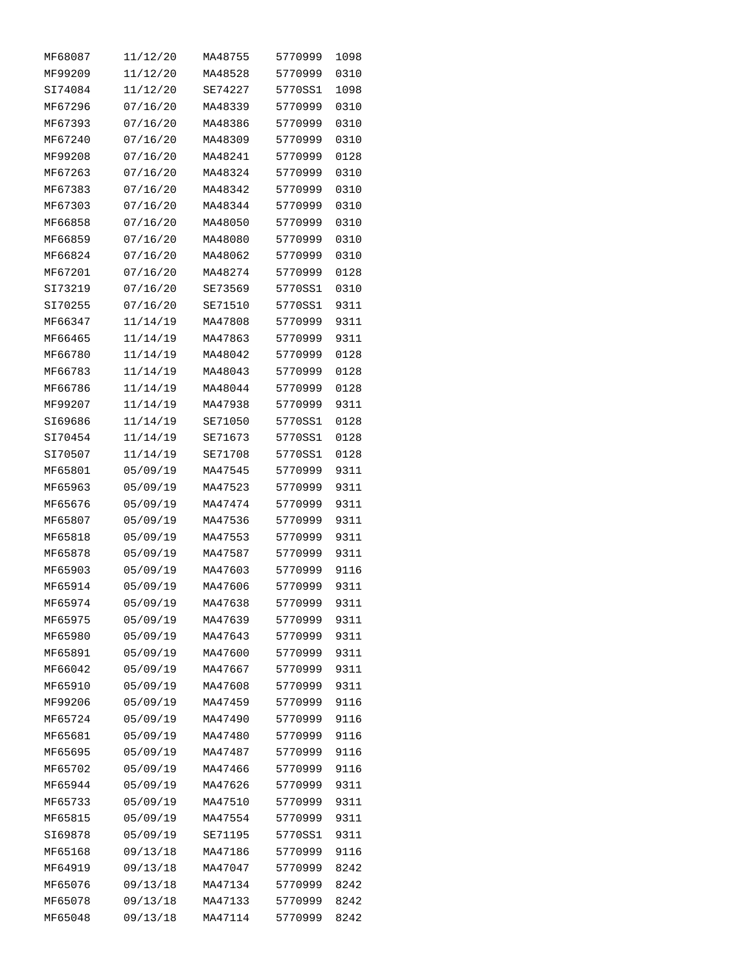| MF68087 | 11/12/20 | MA48755 | 5770999 | 1098 |
|---------|----------|---------|---------|------|
| MF99209 | 11/12/20 | MA48528 | 5770999 | 0310 |
| SI74084 | 11/12/20 | SE74227 | 5770SS1 | 1098 |
| MF67296 | 07/16/20 | MA48339 | 5770999 | 0310 |
| MF67393 | 07/16/20 | MA48386 | 5770999 | 0310 |
| MF67240 | 07/16/20 | MA48309 | 5770999 | 0310 |
| MF99208 | 07/16/20 | MA48241 | 5770999 | 0128 |
| MF67263 | 07/16/20 | MA48324 | 5770999 | 0310 |
| MF67383 | 07/16/20 | MA48342 | 5770999 | 0310 |
| MF67303 | 07/16/20 | MA48344 | 5770999 | 0310 |
| MF66858 | 07/16/20 | MA48050 | 5770999 | 0310 |
| MF66859 | 07/16/20 | MA48080 | 5770999 | 0310 |
| MF66824 | 07/16/20 | MA48062 | 5770999 | 0310 |
| MF67201 | 07/16/20 | MA48274 | 5770999 | 0128 |
| SI73219 | 07/16/20 | SE73569 | 5770SS1 | 0310 |
| SI70255 | 07/16/20 | SE71510 | 5770SS1 | 9311 |
| MF66347 | 11/14/19 | MA47808 | 5770999 | 9311 |
| MF66465 | 11/14/19 | MA47863 | 5770999 | 9311 |
| MF66780 | 11/14/19 | MA48042 | 5770999 | 0128 |
| MF66783 | 11/14/19 | MA48043 | 5770999 | 0128 |
| MF66786 | 11/14/19 | MA48044 | 5770999 | 0128 |
| MF99207 |          | MA47938 | 5770999 | 9311 |
|         | 11/14/19 |         |         |      |
| SI69686 | 11/14/19 | SE71050 | 5770SS1 | 0128 |
| SI70454 | 11/14/19 | SE71673 | 5770SS1 | 0128 |
| SI70507 | 11/14/19 | SE71708 | 5770SS1 | 0128 |
| MF65801 | 05/09/19 | MA47545 | 5770999 | 9311 |
| MF65963 | 05/09/19 | MA47523 | 5770999 | 9311 |
| MF65676 | 05/09/19 | MA47474 | 5770999 | 9311 |
| MF65807 | 05/09/19 | MA47536 | 5770999 | 9311 |
| MF65818 | 05/09/19 | MA47553 | 5770999 | 9311 |
| MF65878 | 05/09/19 | MA47587 | 5770999 | 9311 |
| MF65903 | 05/09/19 | MA47603 | 5770999 | 9116 |
| MF65914 | 05/09/19 | MA47606 | 5770999 | 9311 |
| MF65974 | 05/09/19 | MA47638 | 5770999 | 9311 |
| MF65975 | 05/09/19 | MA47639 | 5770999 | 9311 |
| MF65980 | 05/09/19 | MA47643 | 5770999 | 9311 |
| MF65891 | 05/09/19 | MA47600 | 5770999 | 9311 |
| MF66042 | 05/09/19 | MA47667 | 5770999 | 9311 |
| MF65910 | 05/09/19 | MA47608 | 5770999 | 9311 |
| MF99206 | 05/09/19 | MA47459 | 5770999 | 9116 |
| MF65724 | 05/09/19 | MA47490 | 5770999 | 9116 |
| MF65681 | 05/09/19 | MA47480 | 5770999 | 9116 |
| MF65695 | 05/09/19 | MA47487 | 5770999 | 9116 |
| MF65702 | 05/09/19 | MA47466 | 5770999 | 9116 |
| MF65944 | 05/09/19 | MA47626 | 5770999 | 9311 |
| MF65733 | 05/09/19 | MA47510 | 5770999 | 9311 |
| MF65815 | 05/09/19 | MA47554 | 5770999 | 9311 |
| SI69878 | 05/09/19 | SE71195 | 5770SS1 | 9311 |
| MF65168 | 09/13/18 | MA47186 | 5770999 | 9116 |
| MF64919 | 09/13/18 | MA47047 | 5770999 | 8242 |
| MF65076 | 09/13/18 | MA47134 | 5770999 | 8242 |
| MF65078 | 09/13/18 | MA47133 | 5770999 | 8242 |
| MF65048 | 09/13/18 | MA47114 | 5770999 | 8242 |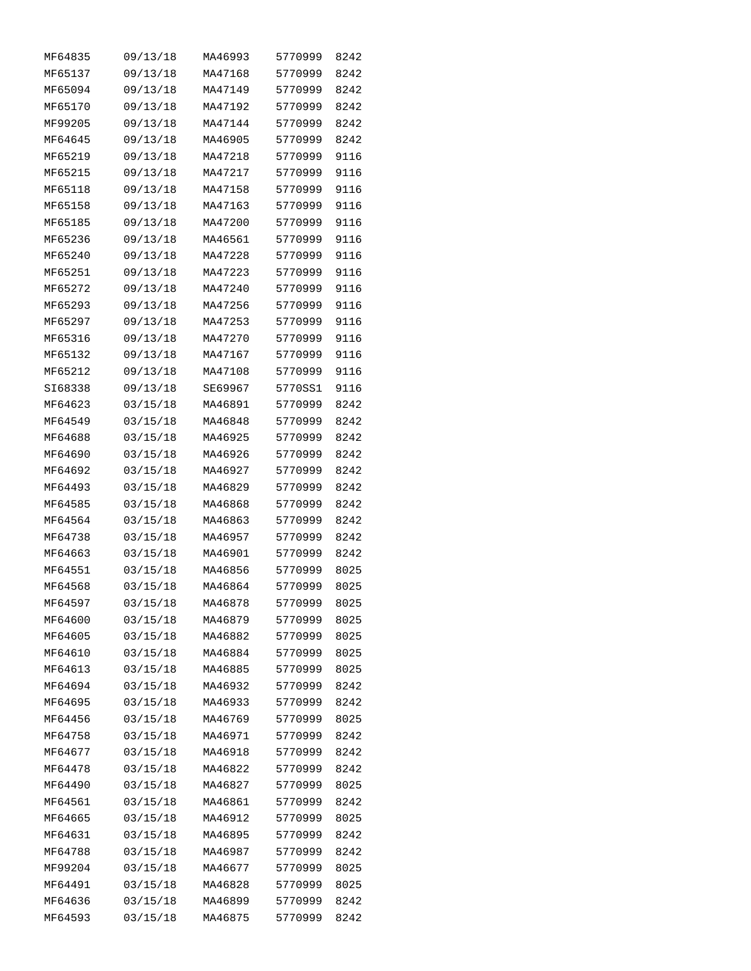| MF64835 | 09/13/18 | MA46993 | 5770999 | 8242 |
|---------|----------|---------|---------|------|
| MF65137 | 09/13/18 | MA47168 | 5770999 | 8242 |
| MF65094 | 09/13/18 | MA47149 | 5770999 | 8242 |
| MF65170 | 09/13/18 | MA47192 | 5770999 | 8242 |
| MF99205 | 09/13/18 | MA47144 | 5770999 | 8242 |
| MF64645 | 09/13/18 | MA46905 | 5770999 | 8242 |
| MF65219 | 09/13/18 | MA47218 | 5770999 | 9116 |
| MF65215 | 09/13/18 | MA47217 | 5770999 | 9116 |
| MF65118 | 09/13/18 | MA47158 | 5770999 | 9116 |
| MF65158 | 09/13/18 | MA47163 | 5770999 | 9116 |
| MF65185 | 09/13/18 | MA47200 | 5770999 | 9116 |
| MF65236 | 09/13/18 | MA46561 | 5770999 | 9116 |
| MF65240 | 09/13/18 | MA47228 | 5770999 | 9116 |
| MF65251 | 09/13/18 | MA47223 | 5770999 | 9116 |
| MF65272 | 09/13/18 | MA47240 | 5770999 | 9116 |
| MF65293 | 09/13/18 | MA47256 | 5770999 | 9116 |
| MF65297 | 09/13/18 | MA47253 | 5770999 | 9116 |
| MF65316 | 09/13/18 | MA47270 | 5770999 | 9116 |
| MF65132 | 09/13/18 | MA47167 | 5770999 | 9116 |
| MF65212 | 09/13/18 | MA47108 | 5770999 | 9116 |
| SI68338 | 09/13/18 | SE69967 | 5770SS1 | 9116 |
| MF64623 | 03/15/18 | MA46891 | 5770999 | 8242 |
| MF64549 | 03/15/18 | MA46848 | 5770999 | 8242 |
| MF64688 | 03/15/18 | MA46925 | 5770999 | 8242 |
| MF64690 | 03/15/18 | MA46926 | 5770999 | 8242 |
| MF64692 | 03/15/18 | MA46927 | 5770999 | 8242 |
| MF64493 | 03/15/18 | MA46829 | 5770999 | 8242 |
| MF64585 | 03/15/18 | MA46868 | 5770999 | 8242 |
| MF64564 | 03/15/18 | MA46863 | 5770999 | 8242 |
| MF64738 | 03/15/18 | MA46957 | 5770999 | 8242 |
| MF64663 | 03/15/18 | MA46901 | 5770999 | 8242 |
| MF64551 | 03/15/18 | MA46856 | 5770999 | 8025 |
| MF64568 | 03/15/18 | MA46864 | 5770999 | 8025 |
| MF64597 | 03/15/18 | MA46878 | 5770999 | 8025 |
| MF64600 | 03/15/18 | MA46879 | 5770999 | 8025 |
| MF64605 | 03/15/18 | MA46882 | 5770999 | 8025 |
| MF64610 | 03/15/18 | MA46884 | 5770999 | 8025 |
| MF64613 | 03/15/18 | MA46885 | 5770999 | 8025 |
| MF64694 | 03/15/18 | MA46932 | 5770999 | 8242 |
| MF64695 | 03/15/18 | MA46933 | 5770999 | 8242 |
| MF64456 | 03/15/18 | MA46769 | 5770999 | 8025 |
| MF64758 | 03/15/18 | MA46971 | 5770999 | 8242 |
| MF64677 | 03/15/18 | MA46918 | 5770999 | 8242 |
| MF64478 | 03/15/18 | MA46822 | 5770999 | 8242 |
| MF64490 | 03/15/18 | MA46827 | 5770999 | 8025 |
| MF64561 | 03/15/18 | MA46861 | 5770999 | 8242 |
| MF64665 | 03/15/18 | MA46912 | 5770999 | 8025 |
| MF64631 | 03/15/18 | MA46895 | 5770999 | 8242 |
| MF64788 | 03/15/18 | MA46987 | 5770999 | 8242 |
| MF99204 | 03/15/18 | MA46677 | 5770999 | 8025 |
| MF64491 | 03/15/18 | MA46828 | 5770999 | 8025 |
| MF64636 | 03/15/18 | MA46899 | 5770999 | 8242 |
| MF64593 | 03/15/18 | MA46875 | 5770999 | 8242 |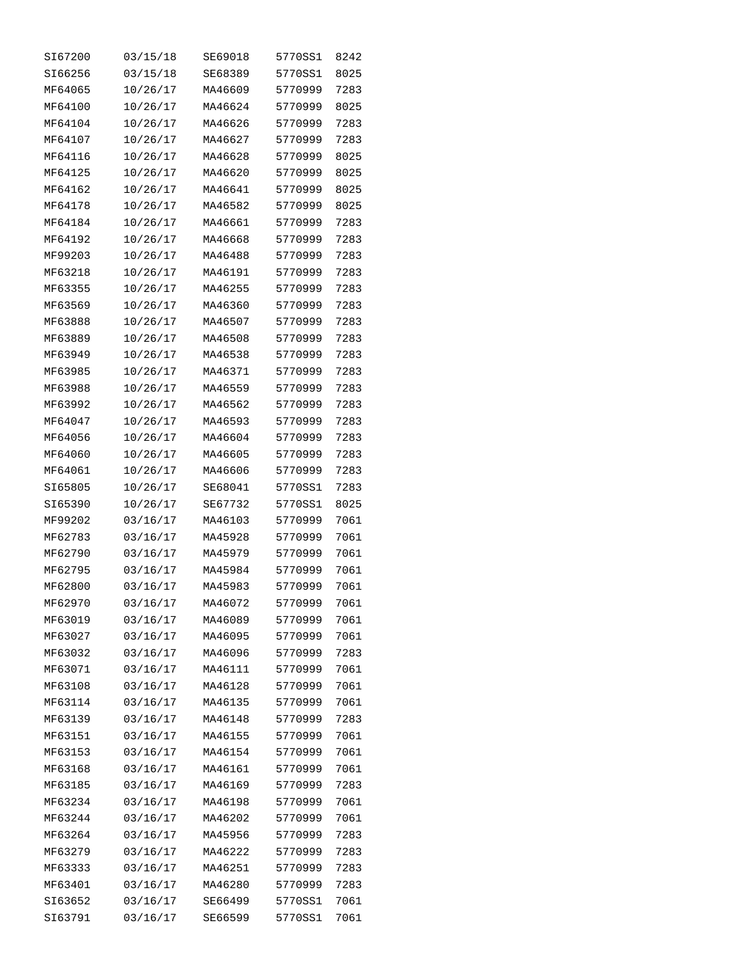| SI67200 | 03/15/18 | SE69018 | 5770SS1 | 8242 |
|---------|----------|---------|---------|------|
| SI66256 | 03/15/18 | SE68389 | 5770SS1 | 8025 |
| MF64065 | 10/26/17 | MA46609 | 5770999 | 7283 |
| MF64100 | 10/26/17 | MA46624 | 5770999 | 8025 |
| MF64104 | 10/26/17 | MA46626 | 5770999 | 7283 |
| MF64107 | 10/26/17 | MA46627 | 5770999 | 7283 |
| MF64116 | 10/26/17 | MA46628 | 5770999 | 8025 |
| MF64125 | 10/26/17 | MA46620 | 5770999 | 8025 |
| MF64162 | 10/26/17 | MA46641 | 5770999 | 8025 |
| MF64178 | 10/26/17 | MA46582 | 5770999 | 8025 |
| MF64184 | 10/26/17 | MA46661 | 5770999 | 7283 |
| MF64192 | 10/26/17 | MA46668 | 5770999 | 7283 |
| MF99203 | 10/26/17 | MA46488 | 5770999 | 7283 |
| MF63218 | 10/26/17 | MA46191 | 5770999 | 7283 |
| MF63355 | 10/26/17 | MA46255 | 5770999 | 7283 |
| MF63569 | 10/26/17 | MA46360 | 5770999 | 7283 |
| MF63888 | 10/26/17 | MA46507 | 5770999 | 7283 |
|         | 10/26/17 | MA46508 | 5770999 | 7283 |
| MF63889 |          |         |         |      |
| MF63949 | 10/26/17 | MA46538 | 5770999 | 7283 |
| MF63985 | 10/26/17 | MA46371 | 5770999 | 7283 |
| MF63988 | 10/26/17 | MA46559 | 5770999 | 7283 |
| MF63992 | 10/26/17 | MA46562 | 5770999 | 7283 |
| MF64047 | 10/26/17 | MA46593 | 5770999 | 7283 |
| MF64056 | 10/26/17 | MA46604 | 5770999 | 7283 |
| MF64060 | 10/26/17 | MA46605 | 5770999 | 7283 |
| MF64061 | 10/26/17 | MA46606 | 5770999 | 7283 |
| SI65805 | 10/26/17 | SE68041 | 5770SS1 | 7283 |
| SI65390 | 10/26/17 | SE67732 | 5770SS1 | 8025 |
| MF99202 | 03/16/17 | MA46103 | 5770999 | 7061 |
| MF62783 | 03/16/17 | MA45928 | 5770999 | 7061 |
| MF62790 | 03/16/17 | MA45979 | 5770999 | 7061 |
| MF62795 | 03/16/17 | MA45984 | 5770999 | 7061 |
| MF62800 | 03/16/17 | MA45983 | 5770999 | 7061 |
| MF62970 | 03/16/17 | MA46072 | 5770999 | 7061 |
| MF63019 | 03/16/17 | MA46089 | 5770999 | 7061 |
| MF63027 | 03/16/17 | MA46095 | 5770999 | 7061 |
| MF63032 | 03/16/17 | MA46096 | 5770999 | 7283 |
| MF63071 | 03/16/17 | MA46111 | 5770999 | 7061 |
| MF63108 | 03/16/17 | MA46128 | 5770999 | 7061 |
| MF63114 | 03/16/17 | MA46135 | 5770999 | 7061 |
| MF63139 | 03/16/17 | MA46148 | 5770999 | 7283 |
| MF63151 | 03/16/17 | MA46155 | 5770999 | 7061 |
| MF63153 | 03/16/17 | MA46154 | 5770999 | 7061 |
| MF63168 | 03/16/17 | MA46161 | 5770999 | 7061 |
| MF63185 | 03/16/17 | MA46169 | 5770999 | 7283 |
| MF63234 | 03/16/17 | MA46198 | 5770999 | 7061 |
| MF63244 | 03/16/17 | MA46202 | 5770999 | 7061 |
| MF63264 | 03/16/17 | MA45956 | 5770999 | 7283 |
| MF63279 | 03/16/17 | MA46222 | 5770999 | 7283 |
| MF63333 | 03/16/17 | MA46251 | 5770999 | 7283 |
| MF63401 | 03/16/17 | MA46280 | 5770999 | 7283 |
| SI63652 | 03/16/17 | SE66499 | 5770SS1 | 7061 |
| SI63791 | 03/16/17 | SE66599 | 5770SS1 | 7061 |
|         |          |         |         |      |